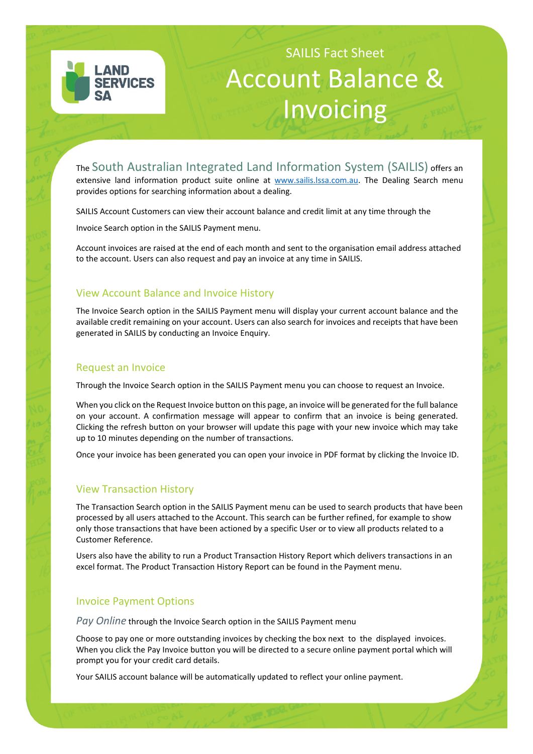

# SAILIS Fact Sheet Account Balance & Invoicing

The South Australian Integrated Land Information System (SAILIS) offers an extensive land information product suite online at www.sailis.lssa.com.au. The Dealing Search menu provides options for searching information about a dealing.

SAILIS Account Customers can view their account balance and credit limit at any time through the

Invoice Search option in the SAILIS Payment menu.

Account invoices are raised at the end of each month and sent to the organisation email address attached to the account. Users can also request and pay an invoice at any time in SAILIS.

# View Account Balance and Invoice History

The Invoice Search option in the SAILIS Payment menu will display your current account balance and the available credit remaining on your account. Users can also search for invoices and receipts that have been generated in SAILIS by conducting an Invoice Enquiry.

## Request an Invoice

Through the Invoice Search option in the SAILIS Payment menu you can choose to request an Invoice.

When you click on the Request Invoice button on this page, an invoice will be generated for the full balance on your account. A confirmation message will appear to confirm that an invoice is being generated. Clicking the refresh button on your browser will update this page with your new invoice which may take up to 10 minutes depending on the number of transactions.

Once your invoice has been generated you can open your invoice in PDF format by clicking the Invoice ID.

## View Transaction History

The Transaction Search option in the SAILIS Payment menu can be used to search products that have been processed by all users attached to the Account. This search can be further refined, for example to show only those transactions that have been actioned by a specific User or to view all products related to a Customer Reference.

Users also have the ability to run a Product Transaction History Report which delivers transactions in an excel format. The Product Transaction History Report can be found in the Payment menu.

## Invoice Payment Options

*Pay Online* through the Invoice Search option in the SAILIS Payment menu

Choose to pay one or more outstanding invoices by checking the box next to the displayed invoices. When you click the Pay Invoice button you will be directed to a secure online payment portal which will prompt you for your credit card details.

Your SAILIS account balance will be automatically updated to reflect your online payment.